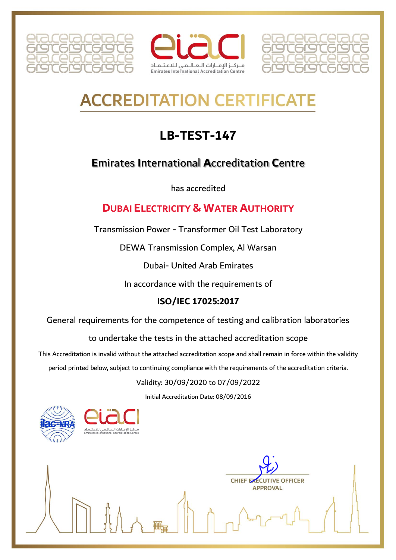





# **ACCREDITATION CERTIFICAT**

## **LB-TEST-147**

## **Emirates International Accreditation Centre**

has accredited

## **DUBAL ELECTRICITY & WATER AUTHORITY**

Transmission Power - Transformer Oil Test Laboratory

DEWA Transmission Complex, Al Warsan

**Dubai- United Arab Emirates** 

In accordance with the requirements of

## ISO/IEC 17025:2017

General requirements for the competence of testing and calibration laboratories

to undertake the tests in the attached accreditation scope

This Accreditation is invalid without the attached accreditation scope and shall remain in force within the validity

period printed below, subject to continuing compliance with the requirements of the accreditation criteria.

## Validity: 30/09/2020 to 07/09/2022

Initial Accreditation Date: 08/09/2016



**CHIEF EXECU TIVE OFFICER APPROVAL**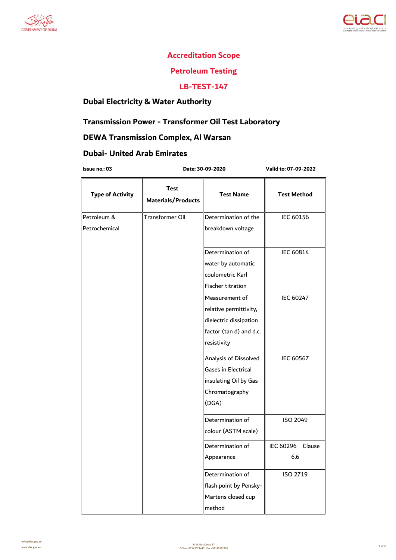



#### **Accreditation Scope**

## **Petroleum Testing**

#### **LB-TEST-147**

## **Dubai Electricity & Water Authority**

## **Transmission Power - Transformer Oil Test Laboratory**

## **DEWA Transmission Complex, Al Warsan**

## **Dubai- United Arab Emirates**

 **Date: 30-09-2020**

**Issue no.: 03 Valid to: 07-09-2022**

| <b>Type of Activity</b> | <b>Test</b><br><b>Materials/Products</b> | <b>Test Name</b>        | <b>Test Method</b> |
|-------------------------|------------------------------------------|-------------------------|--------------------|
| Petroleum &             | Transformer Oil                          | Determination of the    | IEC 60156          |
| Petrochemical           |                                          | breakdown voltage       |                    |
|                         |                                          | Determination of        | <b>IEC 60814</b>   |
|                         |                                          | water by automatic      |                    |
|                         |                                          | coulometric Karl        |                    |
|                         |                                          | Fischer titration       |                    |
|                         |                                          | Measurement of          | <b>IEC 60247</b>   |
|                         |                                          | relative permittivity,  |                    |
|                         |                                          | dielectric dissipation  |                    |
|                         |                                          | factor (tan d) and d.c. |                    |
|                         |                                          | resistivity             |                    |
|                         |                                          | Analysis of Dissolved   | <b>IEC 60567</b>   |
|                         |                                          | Gases in Electrical     |                    |
|                         |                                          | insulating Oil by Gas   |                    |
|                         |                                          | Chromatography          |                    |
|                         |                                          | (DGA)                   |                    |
|                         |                                          | Determination of        | <b>ISO 2049</b>    |
|                         |                                          | colour (ASTM scale)     |                    |
|                         |                                          | Determination of        | IEC 60296 Clause   |
|                         |                                          | Appearance              | 6.6                |
|                         |                                          | Determination of        | ISO 2719           |
|                         |                                          | flash point by Pensky-  |                    |
|                         |                                          | Martens closed cup      |                    |
|                         |                                          | method                  |                    |